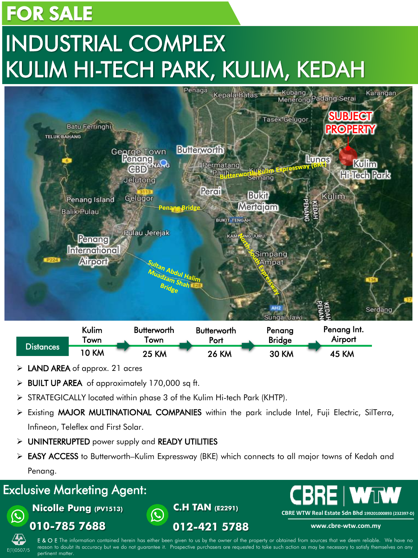### FOR SALE

# INDUSTRIAL COMPLEX KULIM HI-TECH PARK, KULIM, KEDAH



|            | Kulim        | <b>Butterworth</b> | <b>Butterworth</b> | Penang        | Penang Int.  |  |
|------------|--------------|--------------------|--------------------|---------------|--------------|--|
| Distances' | <b>own</b>   | own                | Port               | <b>Bridge</b> | Airport      |  |
|            | <b>10 KM</b> | <b>25 KM</b>       | <b>26 KM</b>       | <b>30 KM</b>  | <b>45 KM</b> |  |

- LAND AREA of approx. 21 acres
- $\triangleright$  BUILT UP AREA of approximately 170,000 sq ft.
- STRATEGICALLY located within phase 3 of the Kulim Hi-tech Park (KHTP).

 $\mathbf{\mathbf{\mathbf{\mathbb{C}}}}$ 

- $\triangleright$  Existing MAJOR MULTINATIONAL COMPANIES within the park include Intel, Fuji Electric, SilTerra, Infineon, Teleflex and First Solar.
- > UNINTERRUPTED power supply and READY UTILITIES
- ► EASY ACCESS to Butterworth–Kulim Expressway (BKE) which connects to all major towns of Kedah and Penang.

**C.H TAN (E2291)** 

**012-421 5788**

#### Exclusive Marketing Agent:

**Nicolle Pung (PV1513)** 



E & O E The information contained herein has either been given to us by the owner of the property or obtained from sources that we deem reliable. We have no reason to doubt its accuracy but we do not guarantee it. Prospective purchasers are requested to take such action as may be necessary to satisfy themselves on any ertinent matter

**CBRE WTW Real Estate Sdn Bhd 199201000893 (232397-D) www.cbre-wtw.com.my**

**E I WTW**